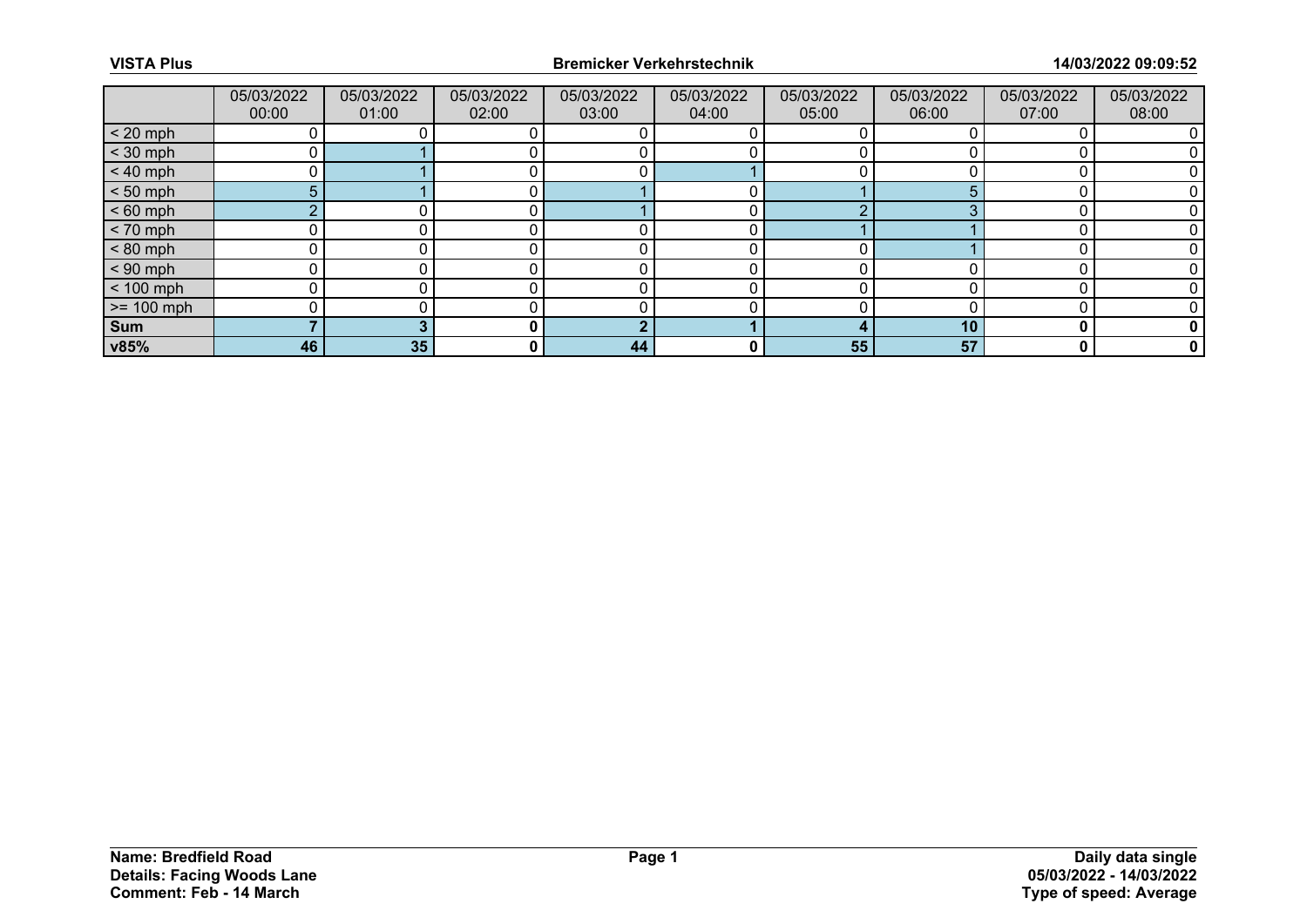|                 | 05/03/2022<br>00:00 | 05/03/2022<br>01:00 | 05/03/2022<br>02:00 | 05/03/2022<br>03:00 | 05/03/2022<br>04:00 | 05/03/2022<br>05:00 | 05/03/2022<br>06:00 | 05/03/2022<br>07:00 | 05/03/2022<br>08:00 |
|-----------------|---------------------|---------------------|---------------------|---------------------|---------------------|---------------------|---------------------|---------------------|---------------------|
| $< 20$ mph      |                     |                     |                     |                     |                     |                     |                     |                     |                     |
| $<$ 30 mph      | 0                   |                     |                     |                     |                     |                     |                     |                     |                     |
| $< 40$ mph      | 0                   |                     |                     |                     |                     |                     |                     |                     |                     |
| $< 50$ mph      | 5                   |                     |                     |                     |                     |                     |                     |                     |                     |
| $< 60$ mph      | $\sim$              |                     |                     |                     |                     |                     |                     |                     |                     |
| $< 70$ mph      | 0                   |                     |                     |                     |                     |                     |                     |                     |                     |
| $< 80$ mph      |                     |                     |                     |                     |                     |                     |                     |                     |                     |
| $< 90$ mph      | 0                   |                     |                     |                     |                     |                     |                     |                     |                     |
| $< 100$ mph     | 0                   |                     |                     |                     |                     |                     |                     |                     |                     |
| $\ge$ = 100 mph |                     |                     |                     |                     |                     |                     |                     |                     |                     |
| Sum             |                     |                     | n                   | G                   |                     |                     | 10                  |                     |                     |
| v85%            | 46                  | 35                  | 0                   | 44                  | 0                   | 55                  | 57                  | 0                   | $\mathbf 0$         |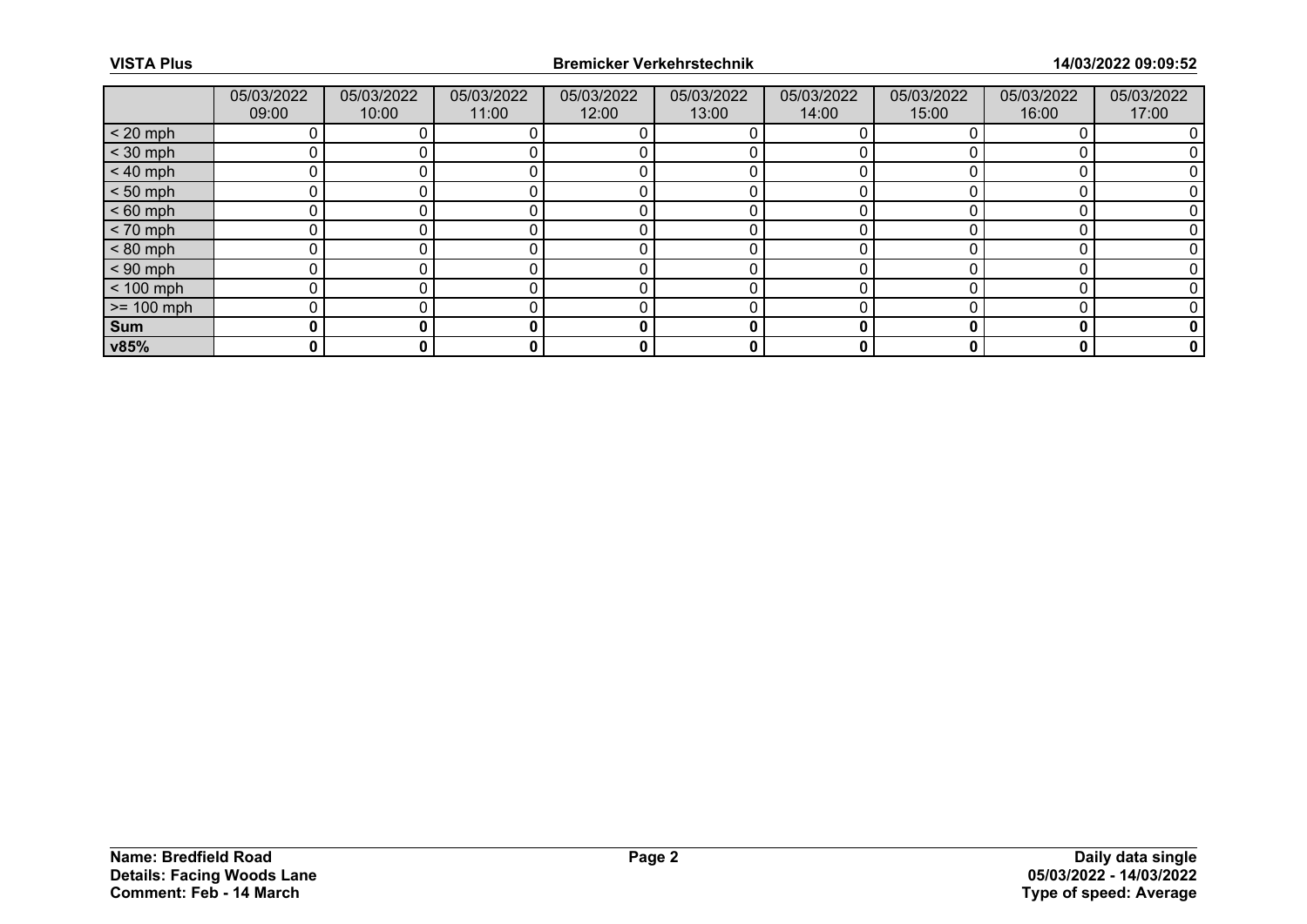|              | 05/03/2022<br>09:00 | 05/03/2022<br>10:00 | 05/03/2022<br>11:00 | 05/03/2022<br>12:00 | 05/03/2022<br>13:00 | 05/03/2022<br>14:00 | 05/03/2022<br>15:00 | 05/03/2022<br>16:00 | 05/03/2022<br>17:00 |
|--------------|---------------------|---------------------|---------------------|---------------------|---------------------|---------------------|---------------------|---------------------|---------------------|
| $< 20$ mph   |                     |                     |                     |                     |                     |                     |                     |                     |                     |
| $<$ 30 mph   |                     |                     |                     |                     |                     |                     |                     |                     |                     |
| $< 40$ mph   |                     |                     |                     |                     |                     |                     |                     |                     |                     |
| $< 50$ mph   |                     |                     |                     |                     |                     |                     |                     |                     |                     |
| $< 60$ mph   |                     |                     |                     |                     |                     |                     |                     |                     |                     |
| $< 70$ mph   |                     |                     |                     |                     |                     |                     |                     |                     |                     |
| $< 80$ mph   |                     |                     |                     |                     |                     |                     |                     |                     |                     |
| $< 90$ mph   |                     |                     |                     |                     |                     |                     |                     |                     |                     |
| $< 100$ mph  |                     |                     |                     |                     |                     |                     |                     |                     |                     |
| $>= 100$ mph |                     |                     |                     |                     |                     |                     |                     |                     |                     |
| Sum          | 0                   |                     |                     | 0                   | 0                   |                     |                     |                     |                     |
| v85%         | 0                   |                     | 0                   | 0                   | 0                   |                     |                     |                     | 0                   |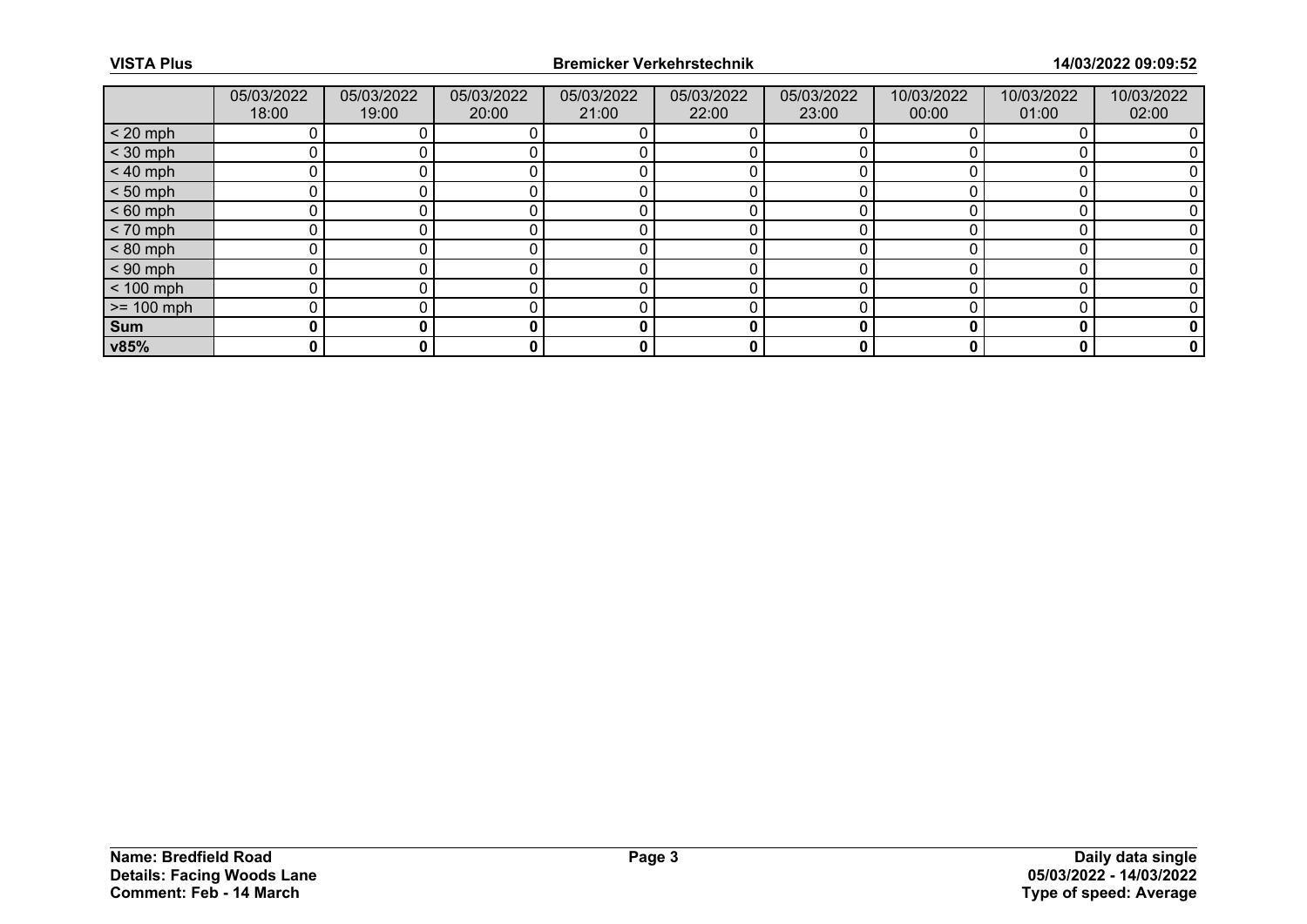|              | 05/03/2022<br>18:00 | 05/03/2022<br>19:00 | 05/03/2022<br>20:00 | 05/03/2022<br>21:00 | 05/03/2022<br>22:00 | 05/03/2022<br>23:00 | 10/03/2022<br>00:00 | 10/03/2022<br>01:00 | 10/03/2022<br>02:00 |
|--------------|---------------------|---------------------|---------------------|---------------------|---------------------|---------------------|---------------------|---------------------|---------------------|
| $< 20$ mph   |                     |                     |                     |                     |                     |                     |                     |                     |                     |
| $<$ 30 mph   |                     |                     |                     |                     |                     |                     |                     |                     |                     |
| $< 40$ mph   |                     |                     |                     |                     |                     |                     |                     |                     |                     |
| $< 50$ mph   |                     |                     |                     |                     |                     |                     |                     |                     |                     |
| $< 60$ mph   |                     |                     |                     |                     |                     |                     |                     |                     |                     |
| $< 70$ mph   |                     |                     |                     |                     |                     |                     |                     |                     |                     |
| $< 80$ mph   |                     |                     |                     |                     |                     |                     |                     |                     |                     |
| $< 90$ mph   |                     |                     |                     |                     |                     |                     |                     |                     |                     |
| $< 100$ mph  |                     |                     |                     |                     |                     |                     |                     |                     |                     |
| $>= 100$ mph |                     |                     |                     |                     |                     |                     |                     |                     |                     |
| Sum          | 0                   |                     |                     | 0                   |                     |                     |                     | n                   |                     |
| v85%         | 0                   |                     |                     | 0                   | 0                   | 0                   |                     | 0                   |                     |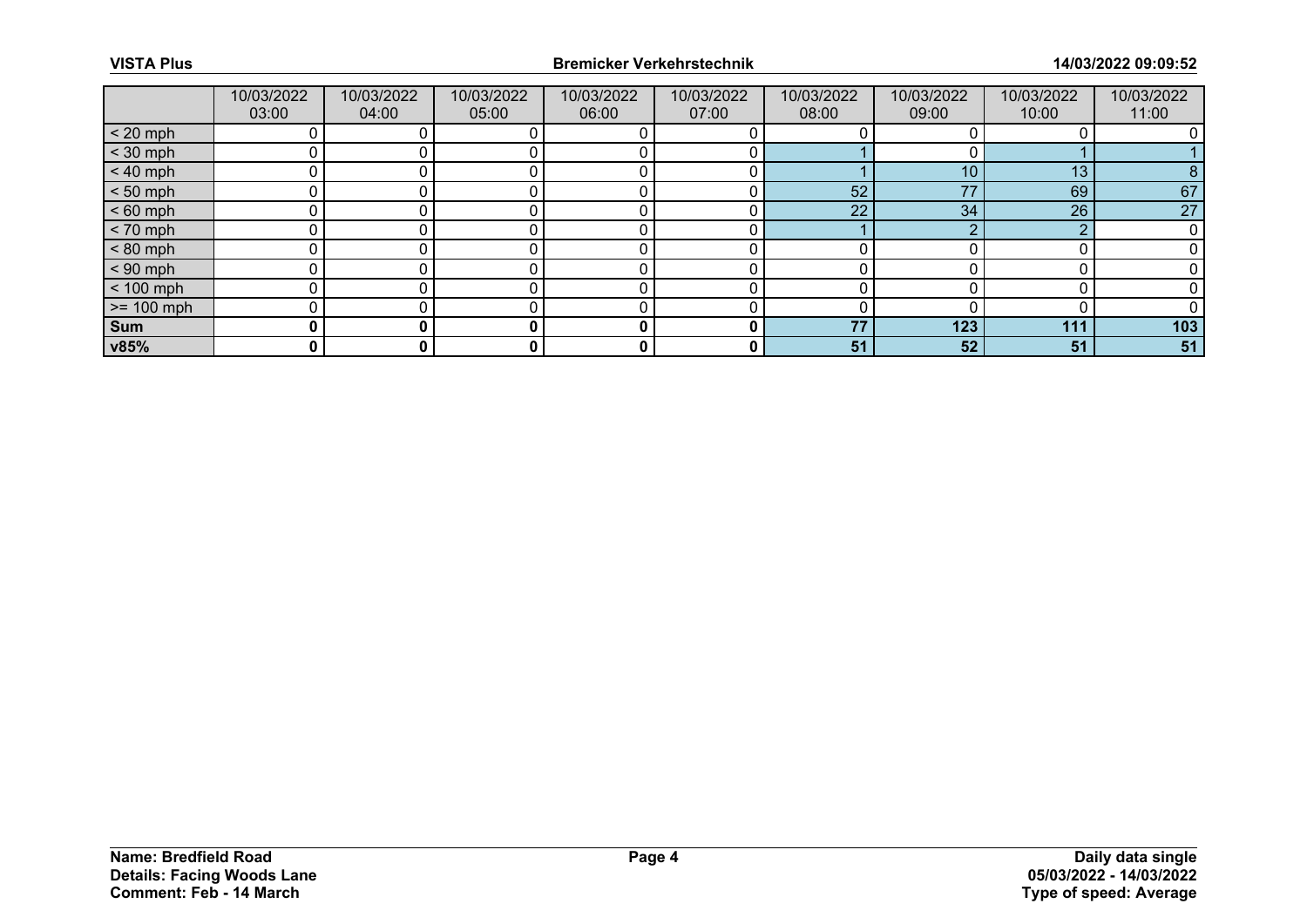|              | 10/03/2022<br>03:00 | 10/03/2022<br>04:00 | 10/03/2022<br>05:00 | 10/03/2022<br>06:00 | 10/03/2022<br>07:00 | 10/03/2022<br>08:00 | 10/03/2022<br>09:00 | 10/03/2022<br>10:00 | 10/03/2022<br>11:00 |
|--------------|---------------------|---------------------|---------------------|---------------------|---------------------|---------------------|---------------------|---------------------|---------------------|
| $< 20$ mph   |                     |                     |                     |                     |                     |                     |                     |                     |                     |
| $<$ 30 mph   |                     |                     |                     |                     |                     |                     |                     |                     |                     |
| $< 40$ mph   |                     |                     |                     |                     |                     |                     | 10                  | 13                  | 8                   |
| $< 50$ mph   |                     |                     |                     |                     |                     | 52                  | 77                  | 69                  | 67                  |
| $< 60$ mph   |                     |                     |                     |                     |                     | 22                  | 34                  | 26                  | 27                  |
| $< 70$ mph   | n                   |                     |                     |                     |                     |                     |                     | ∩                   |                     |
| $< 80$ mph   |                     |                     |                     |                     |                     |                     |                     |                     |                     |
| $< 90$ mph   |                     |                     |                     |                     |                     |                     |                     |                     |                     |
| $< 100$ mph  | ∩                   |                     |                     |                     |                     |                     |                     |                     |                     |
| $>= 100$ mph |                     |                     |                     |                     |                     |                     |                     |                     |                     |
| Sum          |                     |                     |                     | 0                   |                     | 77                  | 123                 | 111                 | 103                 |
| v85%         | 0                   | 0                   | 0                   | 0                   | 0                   | 51                  | 52                  | 51                  | 51                  |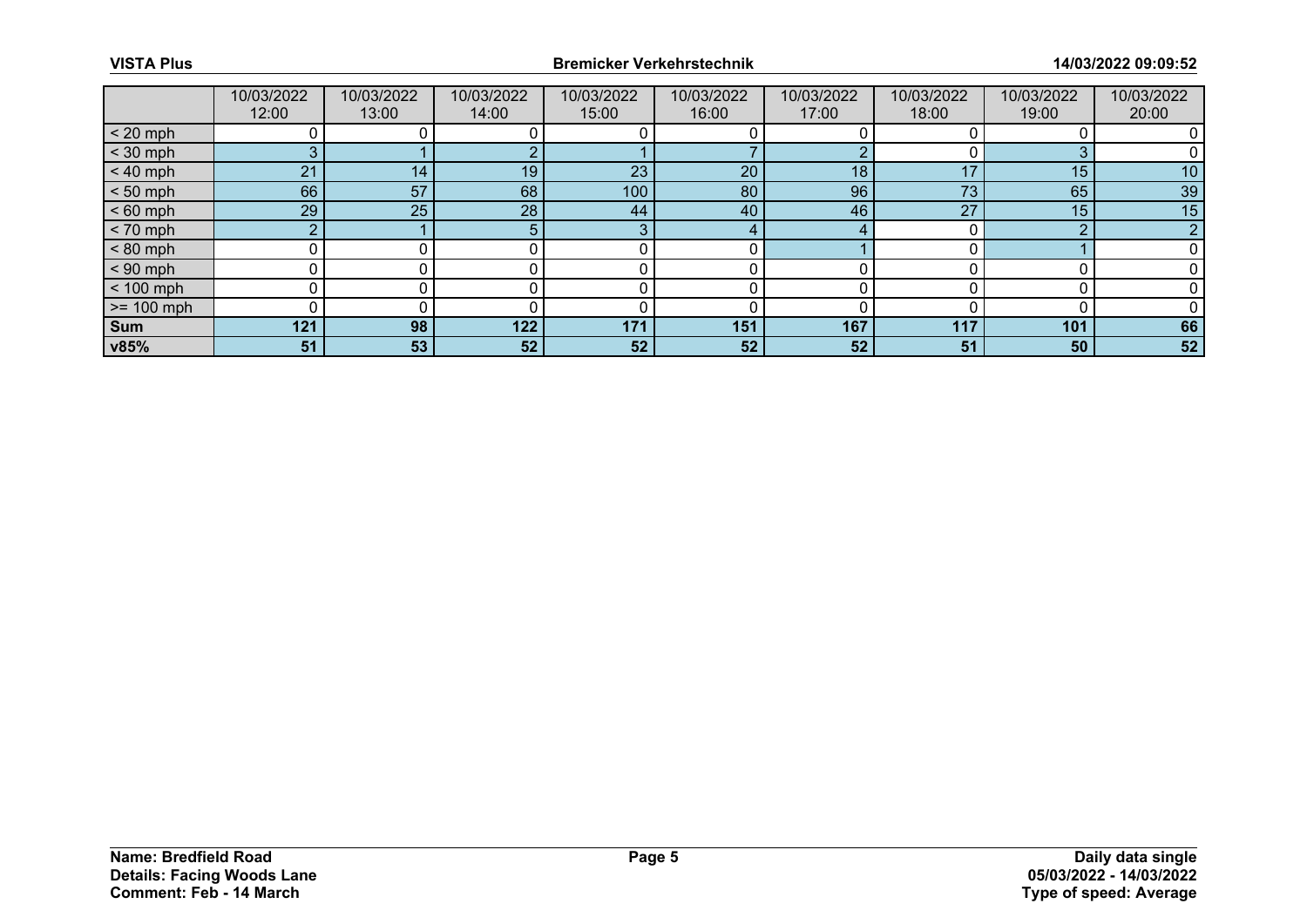|              | 10/03/2022<br>12:00 | 10/03/2022<br>13:00 | 10/03/2022<br>14:00 | 10/03/2022<br>15:00 | 10/03/2022<br>16:00 | 10/03/2022<br>17:00 | 10/03/2022<br>18:00 | 10/03/2022<br>19:00 | 10/03/2022<br>20:00 |
|--------------|---------------------|---------------------|---------------------|---------------------|---------------------|---------------------|---------------------|---------------------|---------------------|
| $< 20$ mph   |                     |                     |                     |                     |                     |                     |                     |                     |                     |
| $<$ 30 mph   | 3                   |                     |                     |                     |                     |                     |                     |                     |                     |
| $< 40$ mph   | 21                  | 14                  | 19                  | 23                  | 20                  | 18                  |                     | 15                  | 10                  |
| $< 50$ mph   | 66                  | 57                  | 68                  | 100                 | 80                  | 96                  | 73                  | 65                  | 39                  |
| $< 60$ mph   | 29                  | 25                  | 28                  | 44                  | 40                  | 46                  | 27                  | 15                  | 15                  |
| $< 70$ mph   | $\sim$              |                     |                     | 3                   | 4                   | 4                   |                     | n                   | n                   |
| $< 80$ mph   |                     |                     |                     |                     |                     |                     |                     |                     |                     |
| $< 90$ mph   |                     |                     |                     |                     |                     |                     |                     |                     |                     |
| $< 100$ mph  | n                   |                     |                     |                     |                     | n                   |                     |                     |                     |
| $>= 100$ mph |                     |                     |                     |                     |                     |                     |                     |                     |                     |
| <b>Sum</b>   | 121                 | 98                  | 122                 | 171                 | 151                 | 167                 | 117                 | 101                 | 66                  |
| v85%         | 51                  | 53                  | 52                  | 52                  | 52 <sub>2</sub>     | 52                  | 51                  | 50                  | 52                  |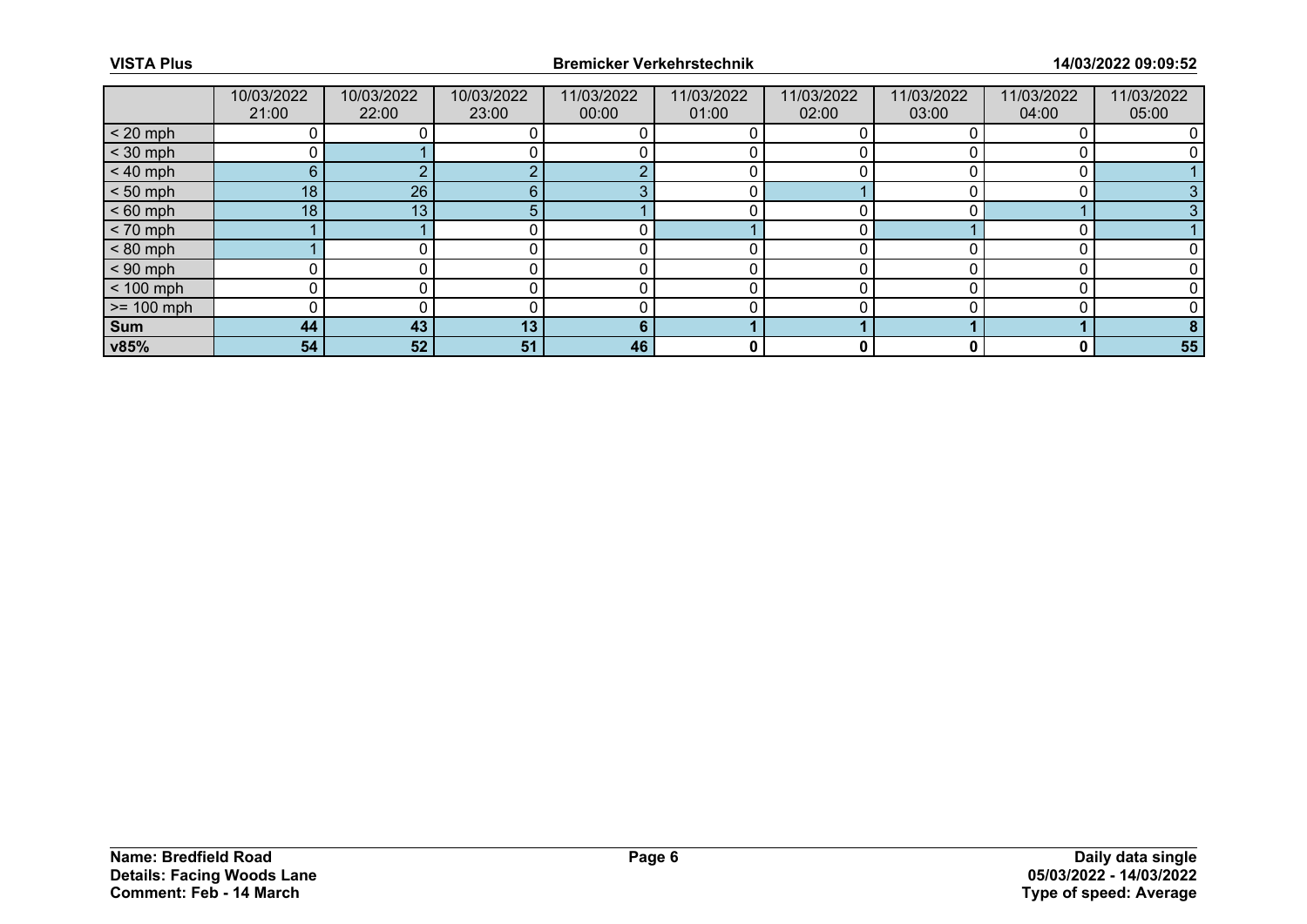|              | 10/03/2022<br>21:00 | 10/03/2022<br>22:00 | 10/03/2022<br>23:00 | 11/03/2022<br>00:00 | 11/03/2022<br>01:00 | 11/03/2022<br>02:00 | 11/03/2022<br>03:00 | 11/03/2022<br>04:00 | 11/03/2022<br>05:00 |
|--------------|---------------------|---------------------|---------------------|---------------------|---------------------|---------------------|---------------------|---------------------|---------------------|
| $< 20$ mph   |                     |                     |                     |                     |                     |                     |                     |                     |                     |
| $<$ 30 mph   |                     |                     |                     |                     |                     |                     |                     |                     |                     |
| $< 40$ mph   | 6 <sup>1</sup>      |                     |                     | c                   |                     |                     |                     |                     |                     |
| $< 50$ mph   | 18                  | 26                  | հ                   | c                   |                     |                     |                     |                     |                     |
| $< 60$ mph   | 18                  | 13                  |                     |                     |                     |                     |                     |                     |                     |
| $< 70$ mph   |                     |                     |                     |                     |                     |                     |                     |                     |                     |
| $< 80$ mph   |                     |                     |                     |                     |                     |                     |                     |                     |                     |
| $< 90$ mph   |                     |                     |                     |                     |                     |                     |                     |                     |                     |
| $< 100$ mph  | U                   |                     |                     |                     |                     |                     |                     |                     |                     |
| $>= 100$ mph |                     |                     |                     |                     |                     |                     |                     |                     |                     |
| <b>Sum</b>   | 44                  | 43                  | 13                  | 6                   |                     |                     |                     |                     |                     |
| v85%         | 54                  | 52                  | 51                  | 46                  | 0                   | 0                   |                     | 0                   | 55                  |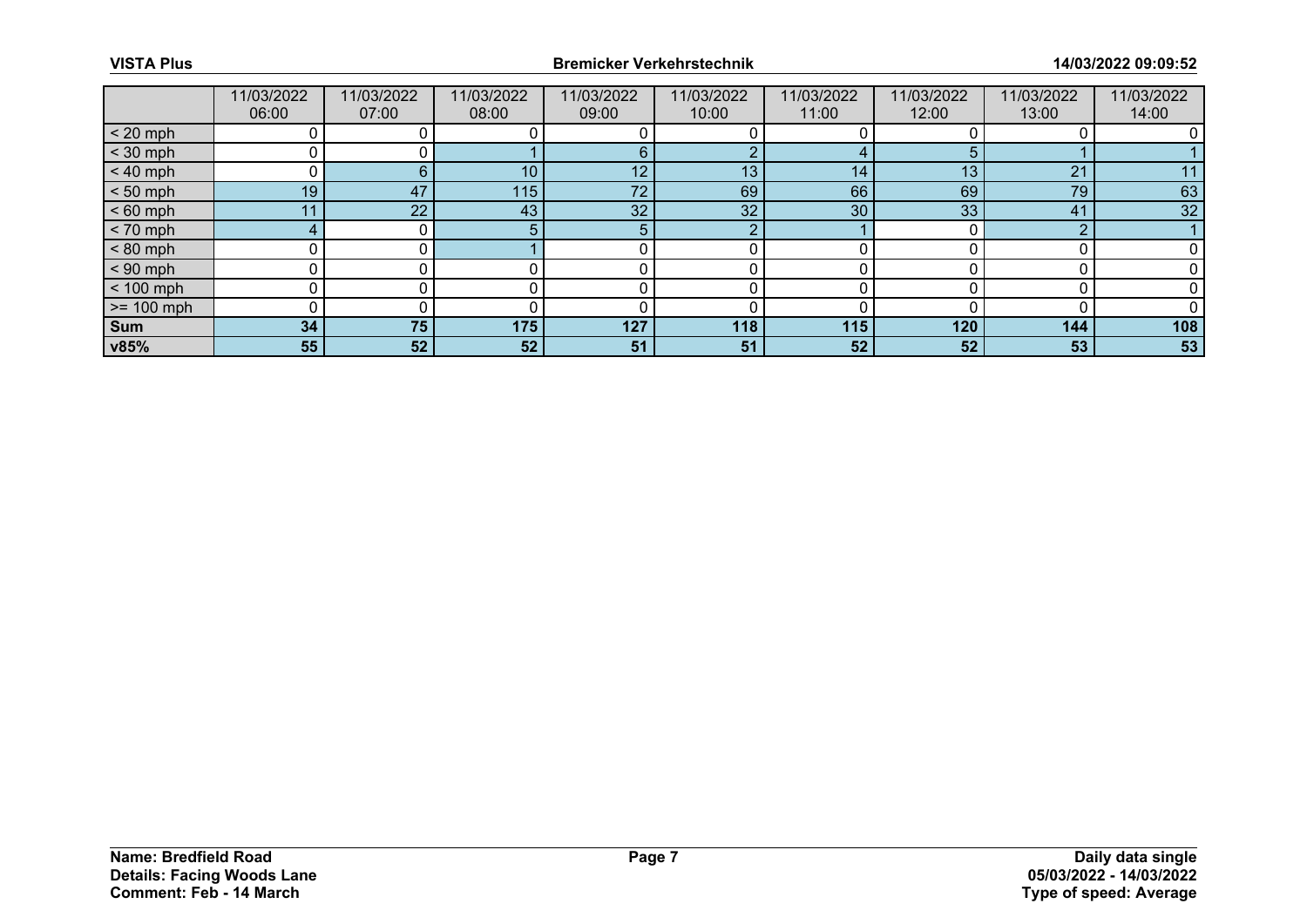|              | 11/03/2022<br>06:00 | 11/03/2022<br>07:00 | 11/03/2022<br>08:00 | 11/03/2022<br>09:00 | 11/03/2022<br>10:00 | 11/03/2022<br>11:00 | 11/03/2022<br>12:00 | 11/03/2022<br>13:00 | 11/03/2022<br>14:00 |
|--------------|---------------------|---------------------|---------------------|---------------------|---------------------|---------------------|---------------------|---------------------|---------------------|
| $< 20$ mph   |                     |                     |                     |                     |                     |                     |                     |                     |                     |
| $<$ 30 mph   |                     |                     |                     | f                   | n                   |                     |                     |                     |                     |
| $< 40$ mph   | 0                   | 6                   | 10                  | 12                  | 13                  | 14                  | 13                  | 21                  | 11                  |
| $< 50$ mph   | 19                  | 47                  | 115                 | 72                  | 69                  | 66                  | 69                  | 79                  | 63                  |
| $< 60$ mph   | 11                  | 22                  | 43                  | 32                  | 32                  | 30                  | 33                  | 41                  | 32                  |
| $< 70$ mph   | $4 \cdot$           |                     |                     | .5                  | ∩                   |                     |                     | ∩                   |                     |
| $< 80$ mph   |                     |                     |                     |                     |                     |                     |                     |                     |                     |
| $< 90$ mph   |                     |                     |                     |                     |                     |                     |                     |                     |                     |
| $< 100$ mph  | n                   |                     |                     |                     |                     | ŋ                   |                     |                     |                     |
| $>= 100$ mph |                     |                     |                     |                     |                     |                     |                     |                     |                     |
| <b>Sum</b>   | 34                  | 75                  | 175                 | 127                 | 118                 | 115                 | 120                 | 144                 | 108                 |
| v85%         | 55                  | 52                  | 52                  | 51                  | 51                  | 52                  | 52                  | 53                  | 53                  |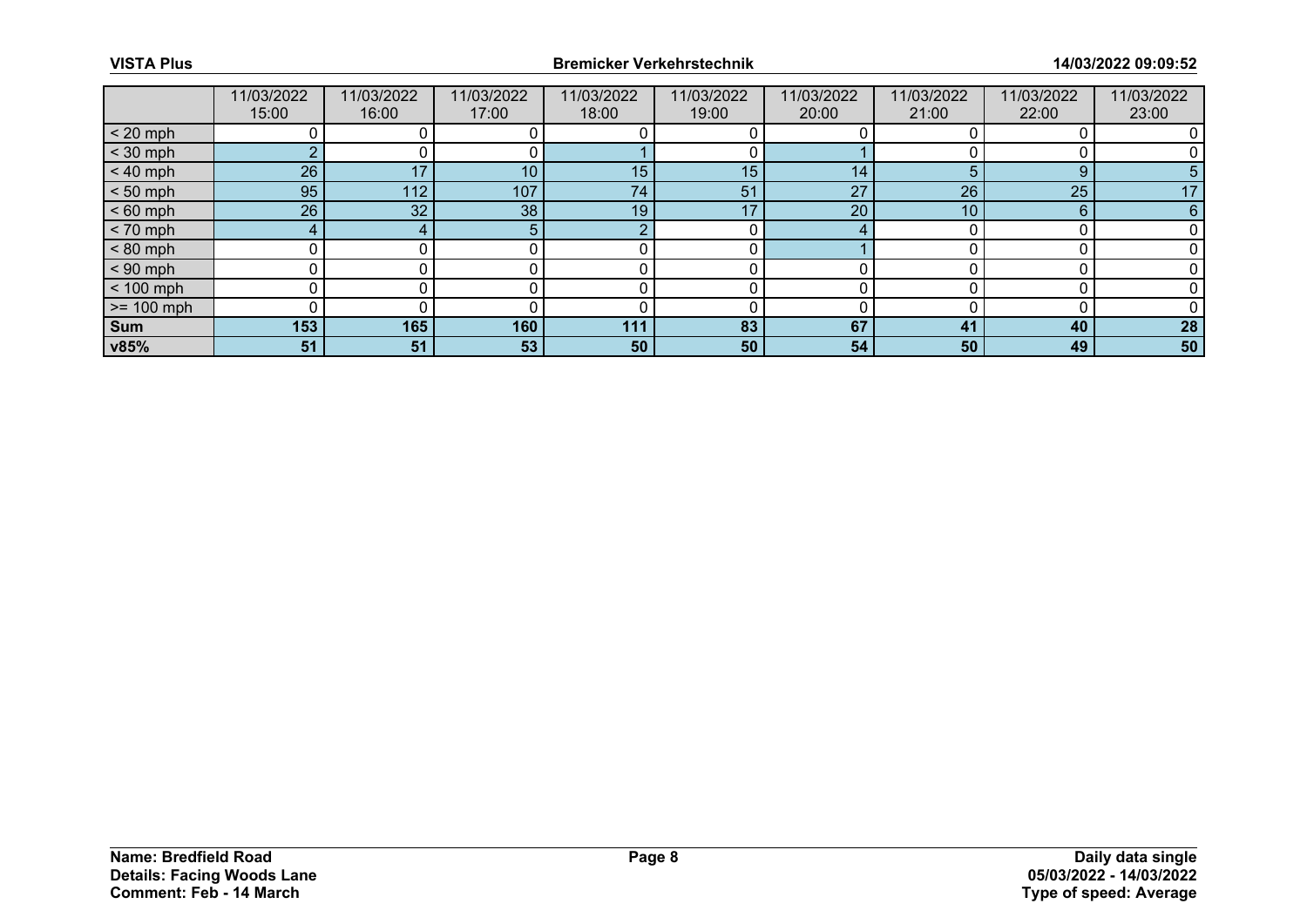|              | 11/03/2022<br>15:00 | 11/03/2022<br>16:00 | 11/03/2022<br>17:00 | 11/03/2022<br>18:00 | 11/03/2022<br>19:00 | 11/03/2022<br>20:00 | 11/03/2022<br>21:00 | 11/03/2022<br>22:00 | 11/03/2022<br>23:00 |
|--------------|---------------------|---------------------|---------------------|---------------------|---------------------|---------------------|---------------------|---------------------|---------------------|
| $< 20$ mph   |                     |                     |                     |                     |                     |                     |                     |                     |                     |
| $<$ 30 mph   | ົ                   |                     |                     |                     |                     |                     |                     |                     |                     |
| $< 40$ mph   | 26                  | 17                  | 10 <sup>1</sup>     | 15                  | 15                  | 14                  |                     | 9                   | 5.                  |
| $< 50$ mph   | 95                  | 112                 | 107                 | 74                  | 51                  | 27                  | 26                  | 25                  | 17                  |
| $< 60$ mph   | 26                  | 32                  | 38                  | 19                  | 17                  | 20                  | 10 <sub>1</sub>     | 6                   | 6                   |
| $< 70$ mph   | 4                   |                     |                     | റ                   |                     | 4                   |                     |                     |                     |
| $< 80$ mph   |                     |                     |                     |                     |                     |                     |                     |                     |                     |
| $< 90$ mph   |                     |                     |                     |                     |                     |                     |                     |                     |                     |
| $< 100$ mph  | n                   |                     |                     |                     |                     | ŋ                   |                     |                     |                     |
| $>= 100$ mph |                     |                     |                     |                     |                     |                     |                     |                     |                     |
| <b>Sum</b>   | 153                 | 165                 | 160                 | 111                 | 83                  | 67                  | 41                  | 40                  | 28                  |
| v85%         | 51                  | 51                  | 53                  | 50                  | 50                  | 54                  | 50                  | 49                  | 50                  |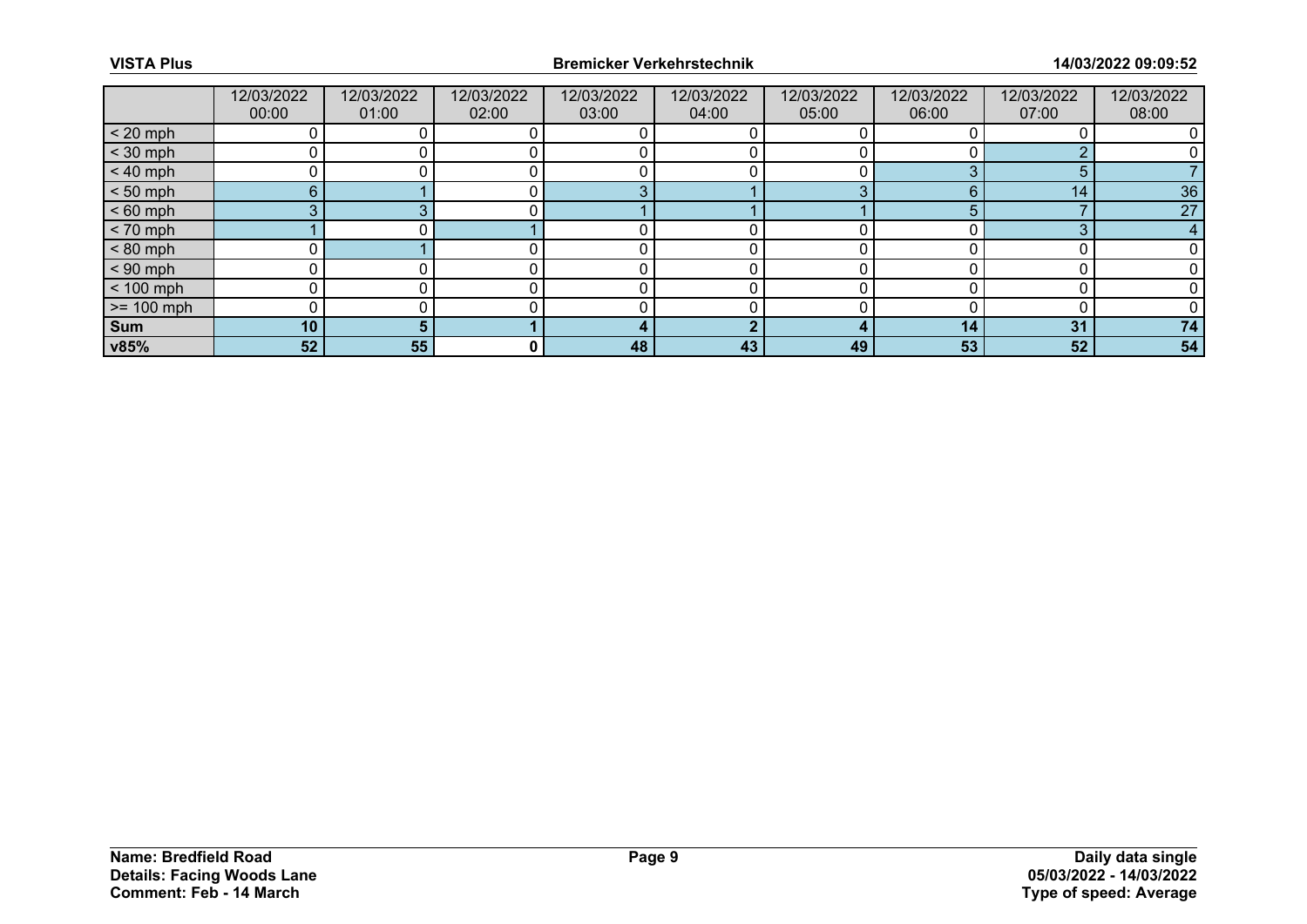|                 | 12/03/2022<br>00:00 | 12/03/2022<br>01:00 | 12/03/2022<br>02:00 | 12/03/2022<br>03:00 | 12/03/2022<br>04:00 | 12/03/2022<br>05:00 | 12/03/2022<br>06:00 | 12/03/2022<br>07:00 | 12/03/2022<br>08:00 |
|-----------------|---------------------|---------------------|---------------------|---------------------|---------------------|---------------------|---------------------|---------------------|---------------------|
| $< 20$ mph      |                     |                     |                     |                     |                     |                     |                     |                     |                     |
| $<$ 30 mph      |                     |                     |                     |                     |                     |                     |                     |                     |                     |
| $< 40$ mph      | 0                   |                     |                     |                     |                     |                     |                     | 5                   |                     |
| $< 50$ mph      | 6                   |                     |                     | œ                   |                     | ◠                   |                     | 14                  | 36                  |
| $< 60$ mph      | 3                   |                     |                     |                     |                     |                     |                     |                     | 27                  |
| $< 70$ mph      |                     |                     |                     |                     |                     |                     |                     | ິ                   | 4                   |
| $< 80$ mph      |                     |                     |                     |                     |                     |                     |                     |                     |                     |
| $< 90$ mph      | 0                   |                     |                     |                     |                     |                     |                     |                     |                     |
| $< 100$ mph     | 0                   |                     |                     |                     |                     |                     |                     |                     |                     |
| $\ge$ = 100 mph |                     |                     |                     |                     |                     |                     |                     |                     |                     |
| Sum             | 10                  |                     |                     |                     |                     |                     | 14                  | 31                  | 74                  |
| <b>v85%</b>     | 52                  | 55                  | 0                   | 48                  | 43                  | 49                  | 53                  | 52                  | 54                  |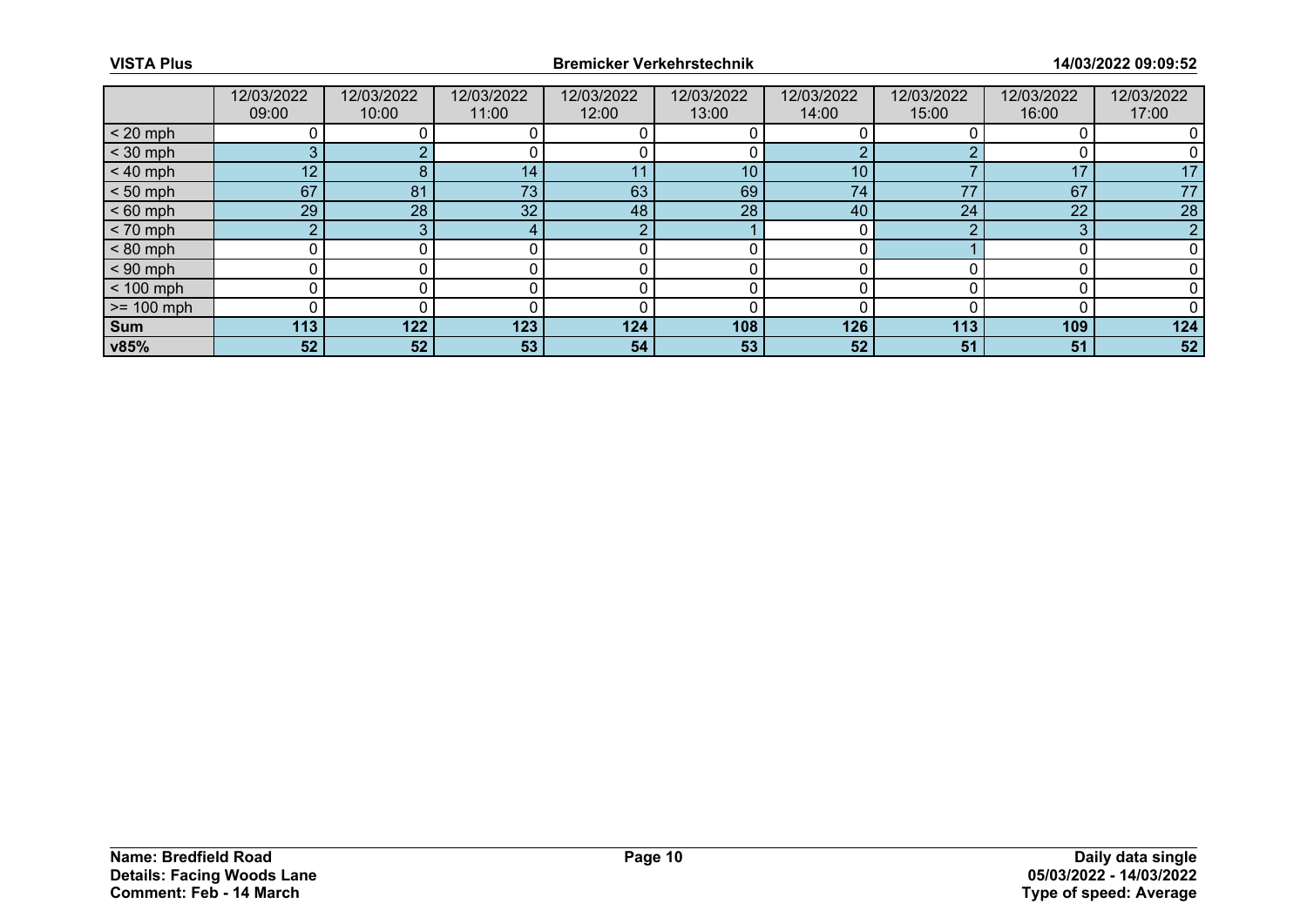|              | 12/03/2022<br>09:00 | 12/03/2022<br>10:00 | 12/03/2022<br>11:00 | 12/03/2022<br>12:00 | 12/03/2022<br>13:00 | 12/03/2022<br>14:00 | 12/03/2022<br>15:00 | 12/03/2022<br>16:00 | 12/03/2022<br>17:00 |
|--------------|---------------------|---------------------|---------------------|---------------------|---------------------|---------------------|---------------------|---------------------|---------------------|
| $< 20$ mph   |                     |                     |                     |                     |                     |                     |                     |                     |                     |
| $<$ 30 mph   | 3                   |                     |                     |                     |                     | ◠                   |                     |                     |                     |
| $< 40$ mph   | 12                  | 8                   | 14                  | 11                  | 10                  | 10                  |                     | 17                  | 17                  |
| $< 50$ mph   | 67                  | 81                  | 73                  | 63                  | 69                  | 74                  | 77                  | 67                  | 77                  |
| $< 60$ mph   | 29                  | 28                  | 32 <sub>2</sub>     | 48                  | 28                  | 40                  | 24                  | 22                  | 28                  |
| $< 70$ mph   | $\sim$              |                     |                     | - 2                 |                     | 0                   |                     | 3                   | n                   |
| $< 80$ mph   |                     |                     |                     |                     |                     |                     |                     |                     |                     |
| $< 90$ mph   |                     |                     |                     |                     |                     |                     |                     |                     |                     |
| $< 100$ mph  | n                   |                     |                     |                     |                     | n                   |                     |                     |                     |
| $>= 100$ mph |                     |                     |                     |                     |                     |                     |                     |                     |                     |
| <b>Sum</b>   | 113                 | 122                 | 123                 | 124                 | 108                 | 126                 | 113                 | 109                 | 124                 |
| v85%         | 52                  | 52                  | 53                  | 54                  | 53                  | 52                  | 51                  | 51                  | 52                  |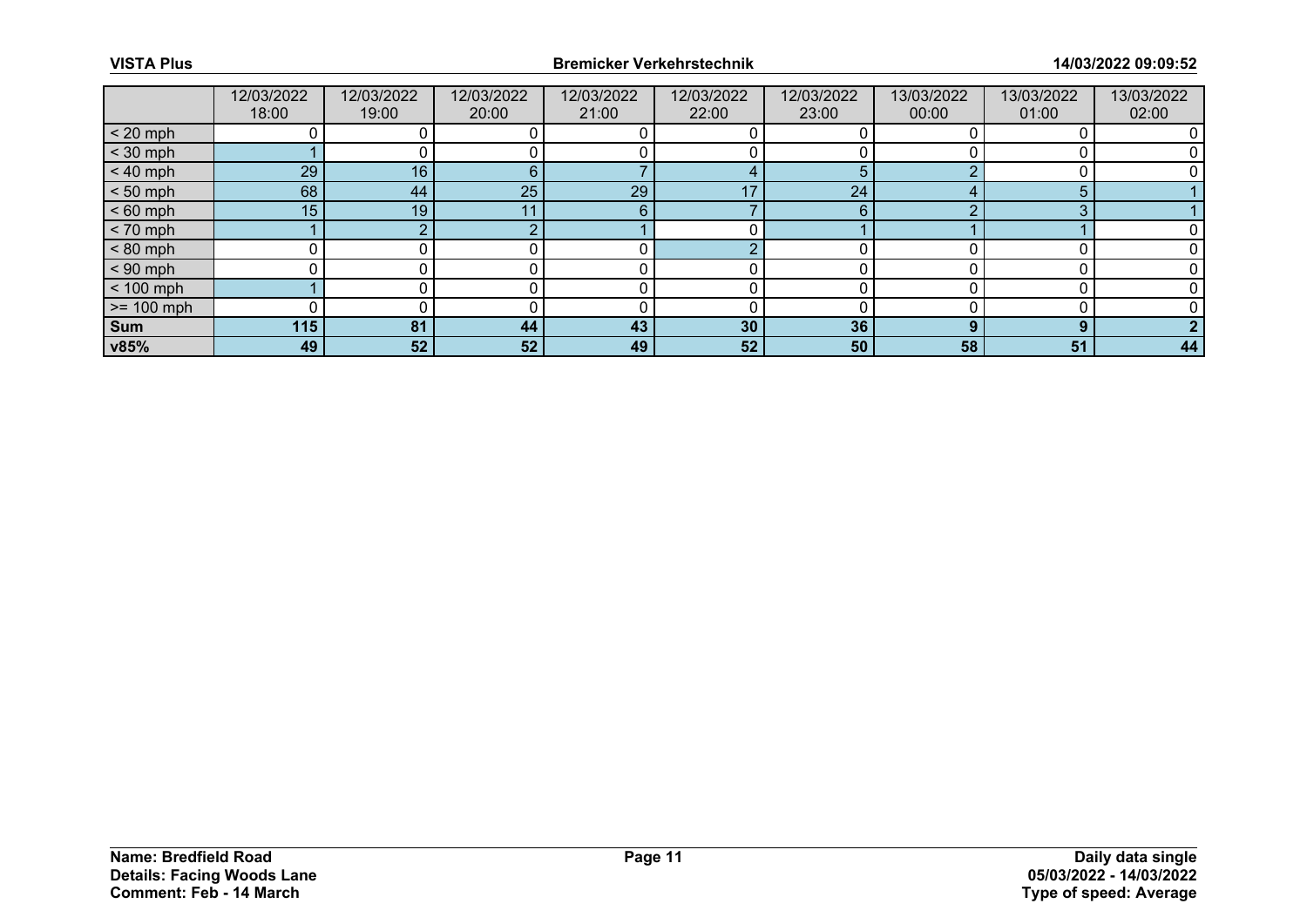|              | 12/03/2022<br>18:00 | 12/03/2022<br>19:00 | 12/03/2022<br>20:00 | 12/03/2022<br>21:00 | 12/03/2022<br>22:00 | 12/03/2022<br>23:00 | 13/03/2022<br>00:00 | 13/03/2022<br>01:00 | 13/03/2022<br>02:00 |
|--------------|---------------------|---------------------|---------------------|---------------------|---------------------|---------------------|---------------------|---------------------|---------------------|
| $< 20$ mph   |                     |                     |                     |                     |                     |                     |                     |                     |                     |
| $<$ 30 mph   |                     |                     |                     |                     |                     |                     |                     |                     |                     |
| $< 40$ mph   | 29                  | 16                  | 6                   |                     |                     | 5                   |                     |                     |                     |
| $< 50$ mph   | 68                  | 44                  | 25                  | 29                  | -47                 | 24                  |                     |                     |                     |
| $< 60$ mph   | 15                  | 19                  |                     | 6                   |                     | 6                   |                     | ◠                   |                     |
| $< 70$ mph   |                     |                     |                     |                     |                     |                     |                     |                     |                     |
| $< 80$ mph   |                     |                     |                     |                     |                     |                     |                     |                     |                     |
| $< 90$ mph   |                     |                     |                     |                     |                     |                     |                     |                     |                     |
| $< 100$ mph  |                     |                     |                     |                     |                     |                     |                     |                     |                     |
| $>= 100$ mph |                     |                     |                     |                     |                     |                     |                     |                     |                     |
| <b>Sum</b>   | 115                 | 81                  | 44                  | 43                  | 30                  | 36                  |                     | $\Omega$            |                     |
| v85%         | 49                  | 52                  | 52                  | 49                  | 52                  | 50                  | 58                  | 51                  | 44                  |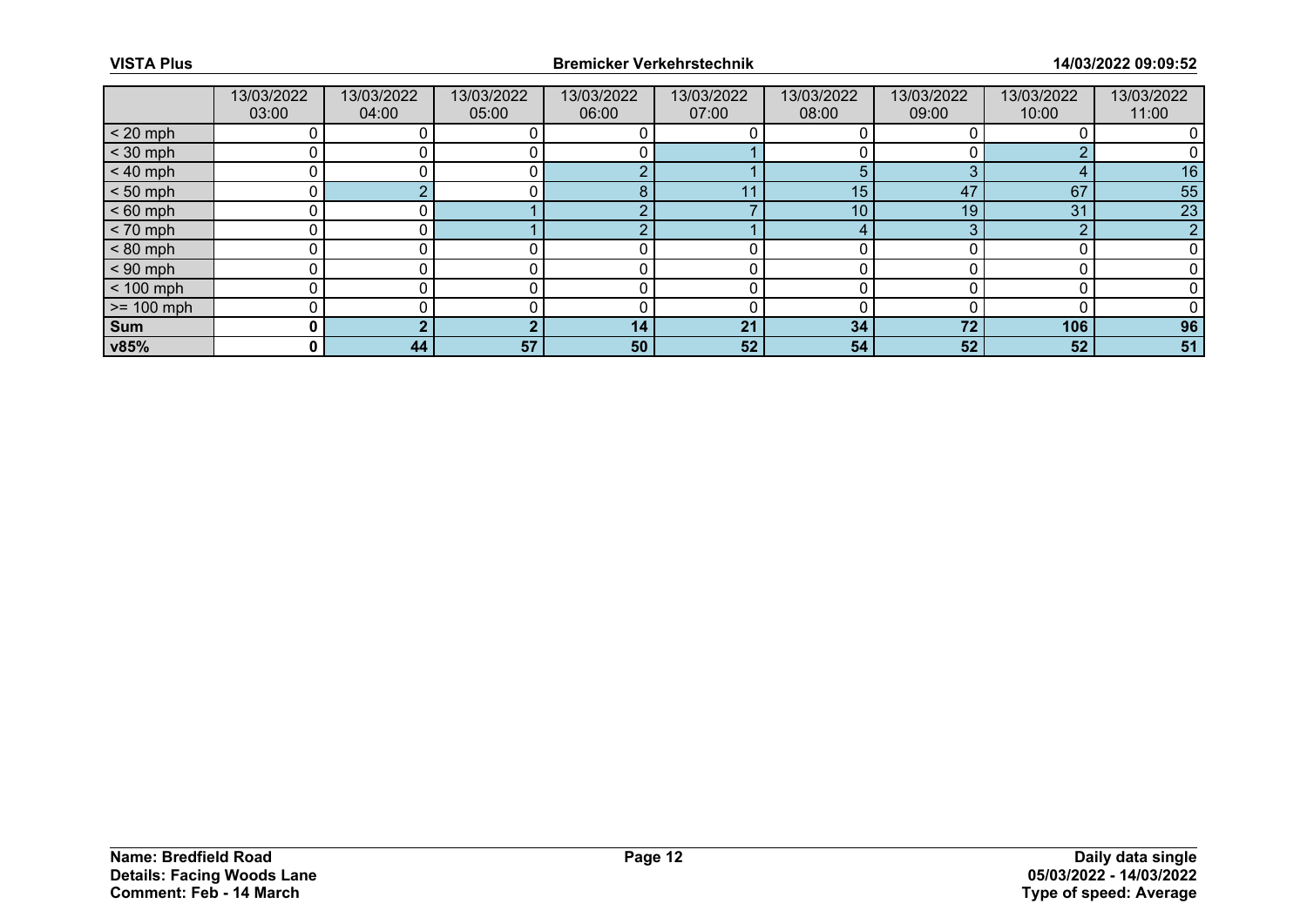|              | 13/03/2022<br>03:00 | 13/03/2022<br>04:00 | 13/03/2022<br>05:00 | 13/03/2022<br>06:00 | 13/03/2022<br>07:00 | 13/03/2022<br>08:00 | 13/03/2022<br>09:00 | 13/03/2022<br>10:00 | 13/03/2022<br>11:00 |
|--------------|---------------------|---------------------|---------------------|---------------------|---------------------|---------------------|---------------------|---------------------|---------------------|
| $< 20$ mph   |                     |                     |                     |                     |                     |                     |                     |                     |                     |
| $<$ 30 mph   |                     |                     |                     |                     |                     |                     |                     |                     |                     |
| $< 40$ mph   |                     |                     |                     | r                   |                     | 5                   |                     |                     | 16                  |
| $< 50$ mph   |                     |                     |                     | Я                   |                     | 15                  | 47                  | 67                  | 55                  |
| $< 60$ mph   |                     |                     |                     |                     |                     | 10                  | 19                  | 31                  | 23                  |
| $< 70$ mph   | U                   |                     |                     | c                   |                     | 4                   |                     | $\sqrt{2}$          |                     |
| $< 80$ mph   |                     |                     |                     |                     |                     |                     |                     |                     |                     |
| $< 90$ mph   |                     |                     |                     |                     |                     |                     |                     |                     |                     |
| $< 100$ mph  | U                   |                     |                     |                     |                     |                     |                     |                     |                     |
| $>= 100$ mph |                     |                     |                     |                     |                     |                     |                     |                     |                     |
| <b>Sum</b>   | 0                   |                     |                     | 14                  | 21                  | 34                  | 72                  | 106                 | 96                  |
| v85%         | $\mathbf{0}$        | 44                  | 57                  | 50                  | 52                  | 54                  | 52                  | 52                  | 51                  |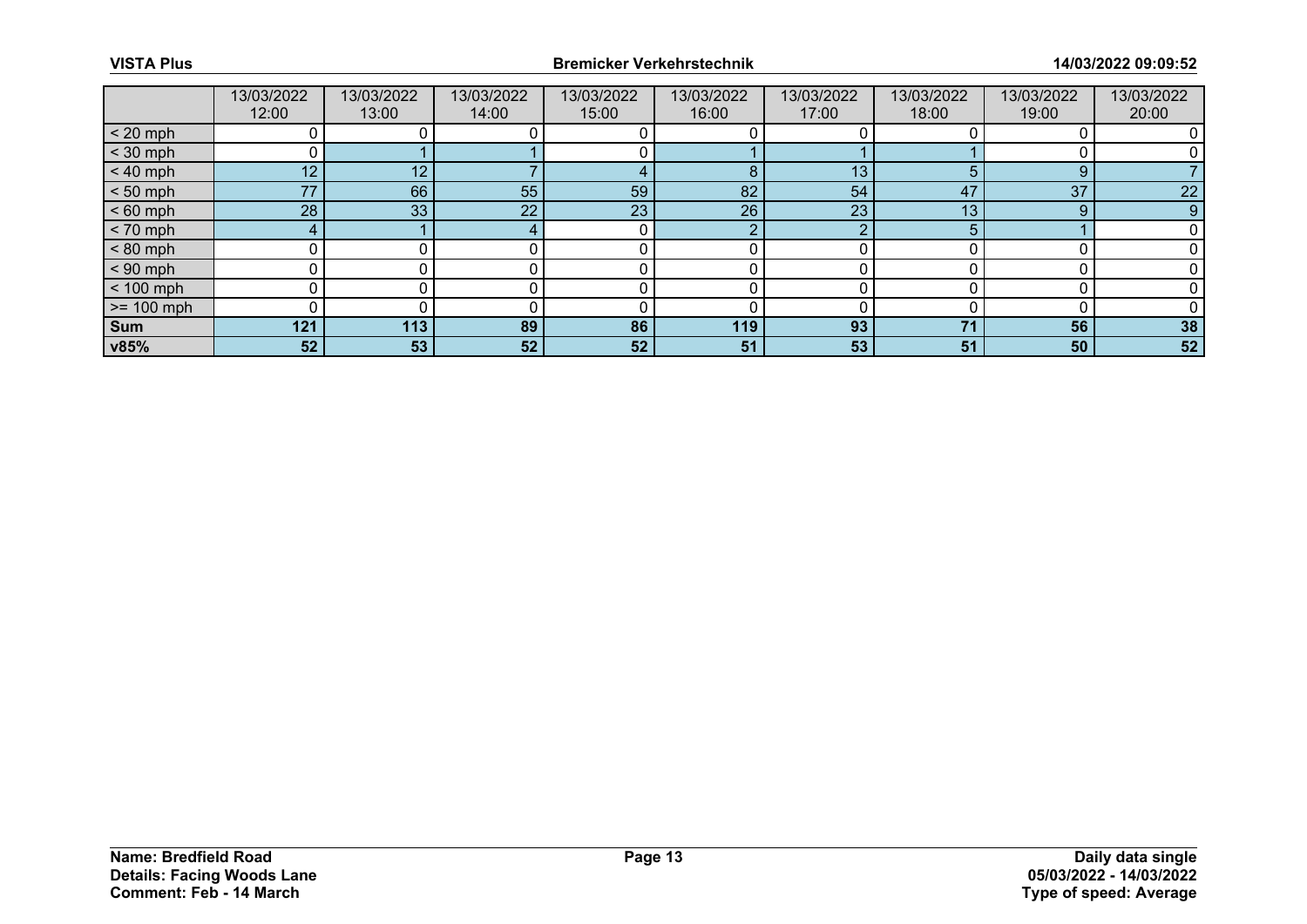|              | 13/03/2022<br>12:00 | 13/03/2022<br>13:00 | 13/03/2022<br>14:00 | 13/03/2022<br>15:00 | 13/03/2022<br>16:00 | 13/03/2022<br>17:00 | 13/03/2022<br>18:00 | 13/03/2022<br>19:00 | 13/03/2022<br>20:00 |
|--------------|---------------------|---------------------|---------------------|---------------------|---------------------|---------------------|---------------------|---------------------|---------------------|
| $< 20$ mph   |                     |                     |                     |                     |                     |                     |                     |                     |                     |
| $<$ 30 mph   |                     |                     |                     |                     |                     |                     |                     |                     |                     |
| $< 40$ mph   | 12 <sub>2</sub>     | 12                  |                     |                     | 8                   | 13                  |                     | 9                   |                     |
| $< 50$ mph   | 77                  | 66                  | 55                  | 59                  | 82                  | 54                  | 47                  | 37                  | 22                  |
| $< 60$ mph   | 28                  | 33                  | 22                  | 23                  | 26                  | 23                  | 13                  | 9                   | 9                   |
| $< 70$ mph   | 4                   |                     |                     |                     | $\sim$              | ◠                   |                     |                     |                     |
| $< 80$ mph   |                     |                     |                     |                     |                     |                     |                     |                     |                     |
| $< 90$ mph   |                     |                     |                     |                     |                     |                     |                     |                     |                     |
| $< 100$ mph  | U                   |                     |                     |                     |                     |                     |                     |                     |                     |
| $>= 100$ mph |                     |                     |                     |                     |                     |                     |                     |                     |                     |
| Sum          | 121                 | 113                 | 89                  | 86                  | 119                 | 93                  | 74                  | 56                  | 38                  |
| v85%         | 52                  | 53                  | 52                  | 52                  | 51                  | 53                  | 51                  | 50                  | 52                  |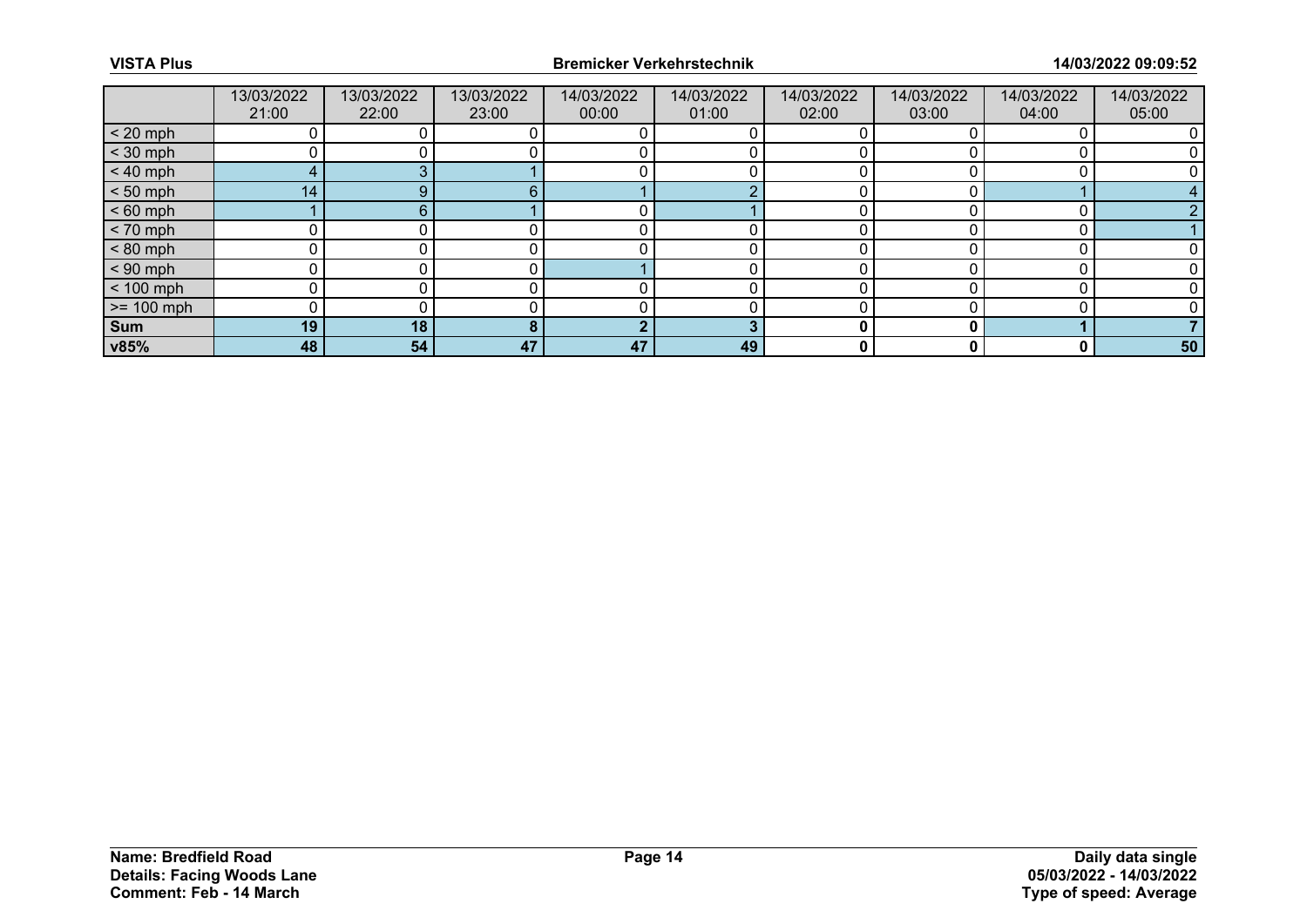|                 | 13/03/2022<br>21:00 | 13/03/2022<br>22:00 | 13/03/2022<br>23:00 | 14/03/2022<br>00:00 | 14/03/2022<br>01:00 | 14/03/2022<br>02:00 | 14/03/2022<br>03:00 | 14/03/2022<br>04:00 | 14/03/2022<br>05:00 |
|-----------------|---------------------|---------------------|---------------------|---------------------|---------------------|---------------------|---------------------|---------------------|---------------------|
| $< 20$ mph      |                     |                     |                     |                     |                     |                     |                     |                     |                     |
| $<$ 30 mph      |                     |                     |                     |                     |                     |                     |                     |                     |                     |
| $< 40$ mph      | 4                   |                     |                     |                     |                     |                     |                     |                     |                     |
| $< 50$ mph      | 14 <sub>1</sub>     |                     |                     |                     |                     |                     |                     |                     |                     |
| $< 60$ mph      |                     | 6                   |                     |                     |                     |                     |                     |                     |                     |
| $< 70$ mph      | 0                   |                     |                     |                     |                     |                     |                     |                     |                     |
| $< 80$ mph      |                     |                     |                     |                     |                     |                     |                     |                     |                     |
| $< 90$ mph      | 0                   |                     |                     |                     |                     |                     |                     |                     |                     |
| $< 100$ mph     | 0                   |                     |                     |                     |                     |                     |                     |                     |                     |
| $\ge$ = 100 mph |                     |                     |                     |                     |                     |                     |                     |                     |                     |
| Sum             | 19                  | 18                  |                     | <b>CO</b>           |                     |                     |                     |                     |                     |
| v85%            | 48                  | 54                  | 47                  | 47                  | 49                  | 0                   |                     | 0                   | 50                  |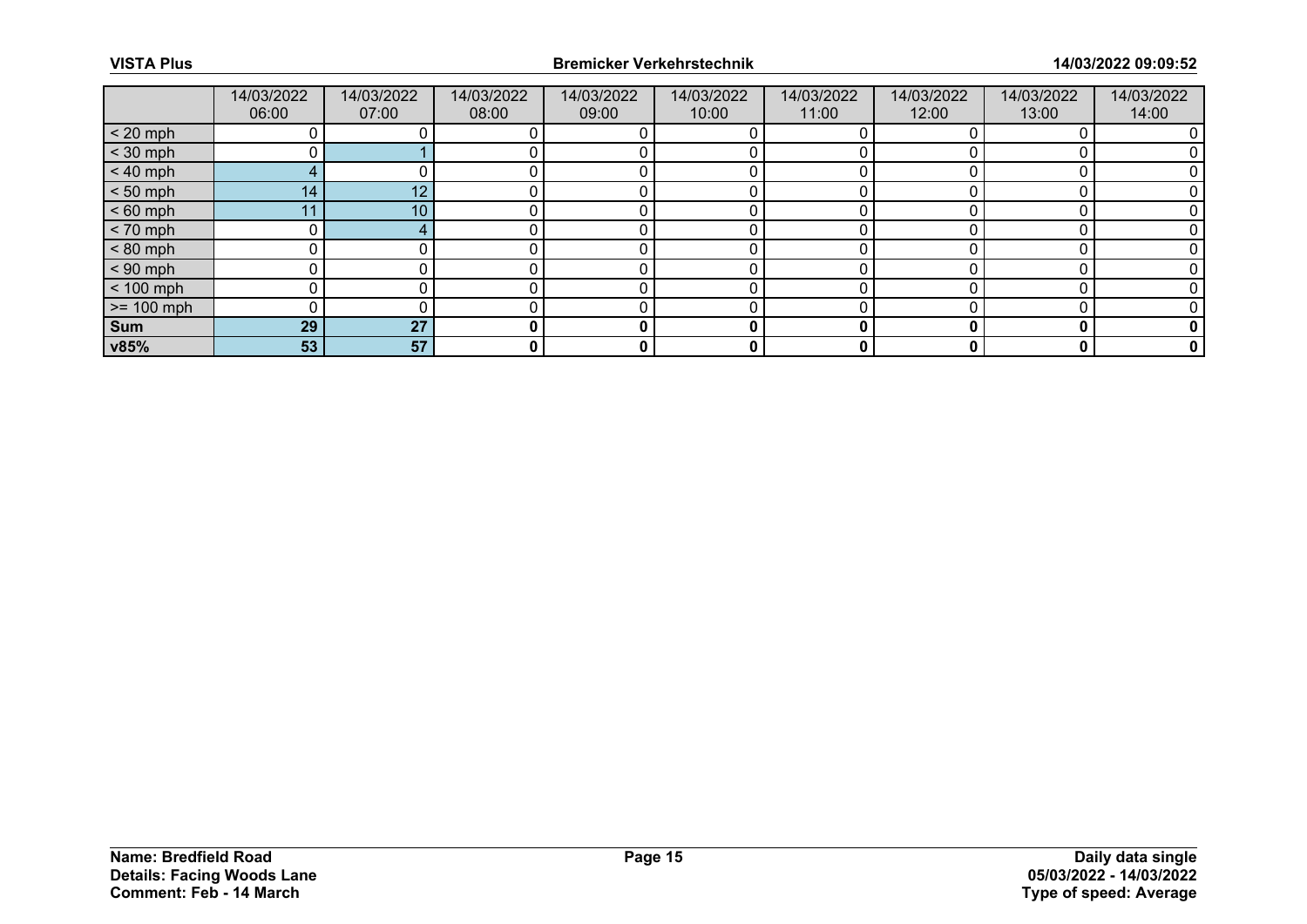|              | 14/03/2022<br>06:00 | 14/03/2022<br>07:00 | 14/03/2022<br>08:00 | 14/03/2022<br>09:00 | 14/03/2022<br>10:00 | 14/03/2022<br>11:00 | 14/03/2022<br>12:00 | 14/03/2022<br>13:00 | 14/03/2022<br>14:00 |
|--------------|---------------------|---------------------|---------------------|---------------------|---------------------|---------------------|---------------------|---------------------|---------------------|
| $< 20$ mph   |                     |                     |                     |                     |                     |                     |                     |                     |                     |
| $<$ 30 mph   |                     |                     |                     |                     |                     |                     |                     |                     |                     |
| $< 40$ mph   | 4                   |                     |                     |                     |                     |                     |                     |                     |                     |
| $< 50$ mph   | 14 <sub>1</sub>     | 12                  |                     |                     |                     |                     |                     |                     |                     |
| $< 60$ mph   | 11                  | 10                  |                     |                     |                     |                     |                     |                     |                     |
| $< 70$ mph   |                     |                     |                     |                     |                     |                     |                     |                     |                     |
| $< 80$ mph   |                     |                     |                     |                     |                     |                     |                     |                     |                     |
| $< 90$ mph   |                     |                     |                     |                     |                     |                     |                     |                     |                     |
| $< 100$ mph  | U                   |                     |                     |                     |                     |                     |                     |                     |                     |
| $>= 100$ mph |                     |                     |                     |                     |                     |                     |                     |                     |                     |
| <b>Sum</b>   | 29                  | 27                  |                     | 0                   |                     |                     |                     | O                   |                     |
| v85%         | 53                  | 57                  | 0                   | 0                   | 0                   | 0                   |                     | 0                   |                     |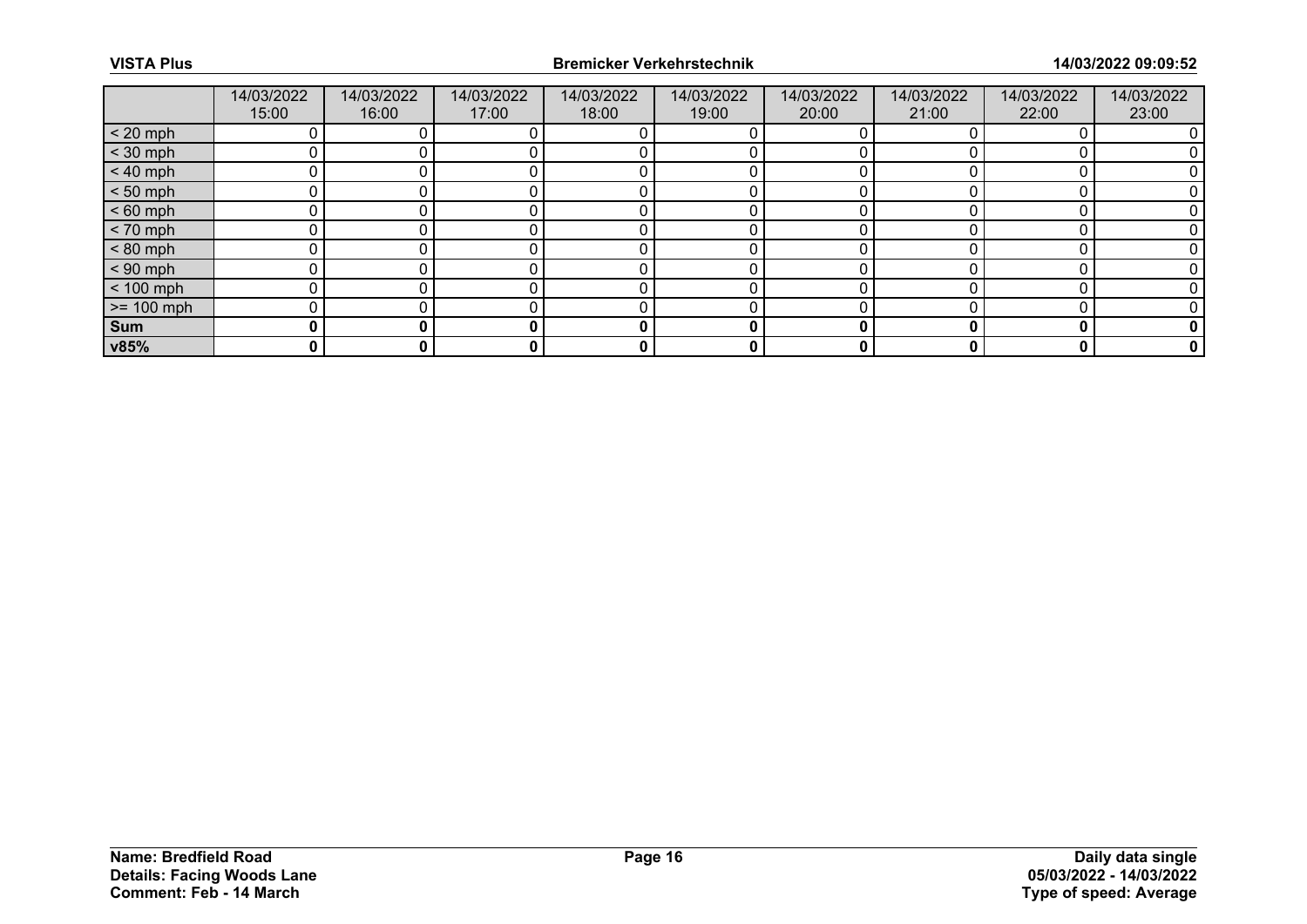|              | 14/03/2022<br>15:00 | 14/03/2022<br>16:00 | 14/03/2022<br>17:00 | 14/03/2022<br>18:00 | 14/03/2022<br>19:00 | 14/03/2022<br>20:00 | 14/03/2022<br>21:00 | 14/03/2022<br>22:00 | 14/03/2022<br>23:00 |
|--------------|---------------------|---------------------|---------------------|---------------------|---------------------|---------------------|---------------------|---------------------|---------------------|
| $< 20$ mph   |                     |                     |                     |                     |                     |                     |                     |                     |                     |
| $<$ 30 mph   |                     |                     |                     |                     |                     |                     |                     |                     |                     |
| $< 40$ mph   |                     |                     |                     |                     |                     |                     |                     |                     |                     |
| $< 50$ mph   |                     |                     |                     |                     |                     |                     |                     |                     |                     |
| $< 60$ mph   |                     |                     |                     |                     |                     |                     |                     |                     |                     |
| $< 70$ mph   | ∩                   |                     |                     |                     |                     |                     |                     |                     |                     |
| $< 80$ mph   |                     |                     |                     |                     |                     |                     |                     |                     |                     |
| $< 90$ mph   |                     |                     |                     |                     |                     |                     |                     |                     |                     |
| $< 100$ mph  | ∩                   |                     |                     |                     |                     | n                   |                     |                     |                     |
| $>= 100$ mph |                     |                     |                     |                     |                     |                     |                     |                     |                     |
| Sum          |                     |                     |                     | 0                   |                     |                     |                     | O                   |                     |
| v85%         | 0                   | 0                   | 0                   | 0                   | 0                   | 0                   |                     | 0                   |                     |